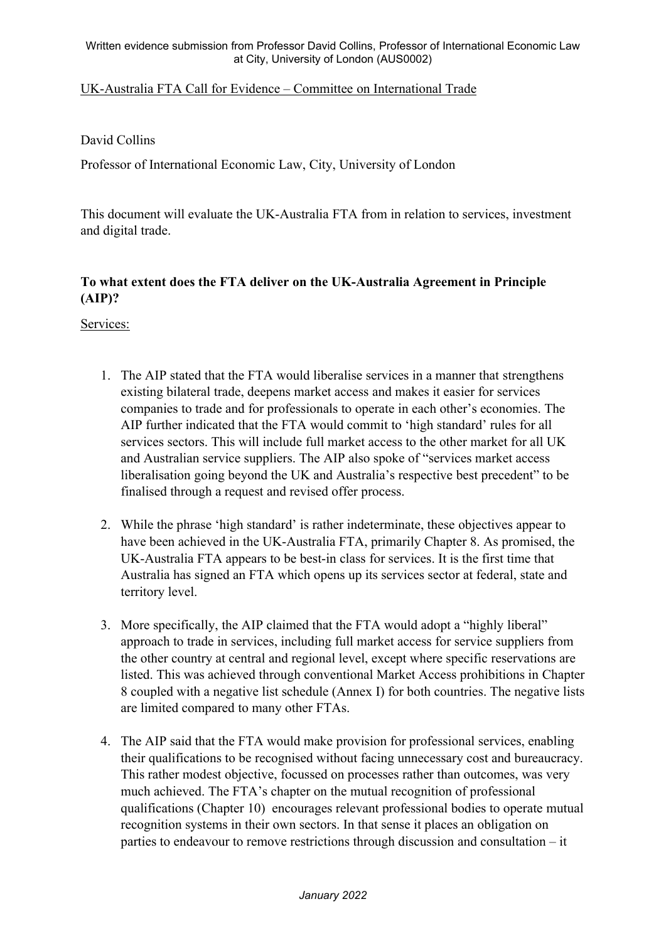## UK-Australia FTA Call for Evidence – Committee on International Trade

## David Collins

Professor of International Economic Law, City, University of London

This document will evaluate the UK-Australia FTA from in relation to services, investment and digital trade.

# **To what extent does the FTA deliver on the UK-Australia Agreement in Principle (AIP)?**

Services:

- 1. The AIP stated that the FTA would liberalise services in a manner that strengthens existing bilateral trade, deepens market access and makes it easier for services companies to trade and for professionals to operate in each other's economies. The AIP further indicated that the FTA would commit to 'high standard' rules for all services sectors. This will include full market access to the other market for all UK and Australian service suppliers. The AIP also spoke of "services market access liberalisation going beyond the UK and Australia's respective best precedent" to be finalised through a request and revised offer process.
- 2. While the phrase 'high standard' is rather indeterminate, these objectives appear to have been achieved in the UK-Australia FTA, primarily Chapter 8. As promised, the UK-Australia FTA appears to be best-in class for services. It is the first time that Australia has signed an FTA which opens up its services sector at federal, state and territory level.
- 3. More specifically, the AIP claimed that the FTA would adopt a "highly liberal" approach to trade in services, including full market access for service suppliers from the other country at central and regional level, except where specific reservations are listed. This was achieved through conventional Market Access prohibitions in Chapter 8 coupled with a negative list schedule (Annex I) for both countries. The negative lists are limited compared to many other FTAs.
- 4. The AIP said that the FTA would make provision for professional services, enabling their qualifications to be recognised without facing unnecessary cost and bureaucracy. This rather modest objective, focussed on processes rather than outcomes, was very much achieved. The FTA's chapter on the mutual recognition of professional qualifications (Chapter 10) encourages relevant professional bodies to operate mutual recognition systems in their own sectors. In that sense it places an obligation on parties to endeavour to remove restrictions through discussion and consultation – it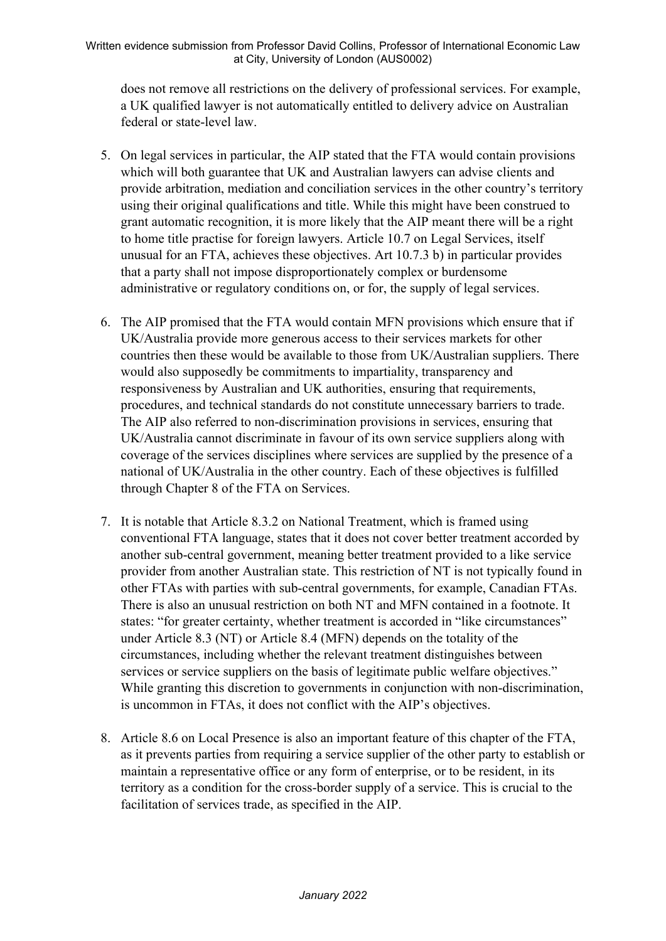does not remove all restrictions on the delivery of professional services. For example, a UK qualified lawyer is not automatically entitled to delivery advice on Australian federal or state-level law.

- 5. On legal services in particular, the AIP stated that the FTA would contain provisions which will both guarantee that UK and Australian lawyers can advise clients and provide arbitration, mediation and conciliation services in the other country's territory using their original qualifications and title. While this might have been construed to grant automatic recognition, it is more likely that the AIP meant there will be a right to home title practise for foreign lawyers. Article 10.7 on Legal Services, itself unusual for an FTA, achieves these objectives. Art 10.7.3 b) in particular provides that a party shall not impose disproportionately complex or burdensome administrative or regulatory conditions on, or for, the supply of legal services.
- 6. The AIP promised that the FTA would contain MFN provisions which ensure that if UK/Australia provide more generous access to their services markets for other countries then these would be available to those from UK/Australian suppliers. There would also supposedly be commitments to impartiality, transparency and responsiveness by Australian and UK authorities, ensuring that requirements, procedures, and technical standards do not constitute unnecessary barriers to trade. The AIP also referred to non-discrimination provisions in services, ensuring that UK/Australia cannot discriminate in favour of its own service suppliers along with coverage of the services disciplines where services are supplied by the presence of a national of UK/Australia in the other country. Each of these objectives is fulfilled through Chapter 8 of the FTA on Services.
- 7. It is notable that Article 8.3.2 on National Treatment, which is framed using conventional FTA language, states that it does not cover better treatment accorded by another sub-central government, meaning better treatment provided to a like service provider from another Australian state. This restriction of NT is not typically found in other FTAs with parties with sub-central governments, for example, Canadian FTAs. There is also an unusual restriction on both NT and MFN contained in a footnote. It states: "for greater certainty, whether treatment is accorded in "like circumstances" under Article 8.3 (NT) or Article 8.4 (MFN) depends on the totality of the circumstances, including whether the relevant treatment distinguishes between services or service suppliers on the basis of legitimate public welfare objectives." While granting this discretion to governments in conjunction with non-discrimination, is uncommon in FTAs, it does not conflict with the AIP's objectives.
- 8. Article 8.6 on Local Presence is also an important feature of this chapter of the FTA, as it prevents parties from requiring a service supplier of the other party to establish or maintain a representative office or any form of enterprise, or to be resident, in its territory as a condition for the cross-border supply of a service. This is crucial to the facilitation of services trade, as specified in the AIP.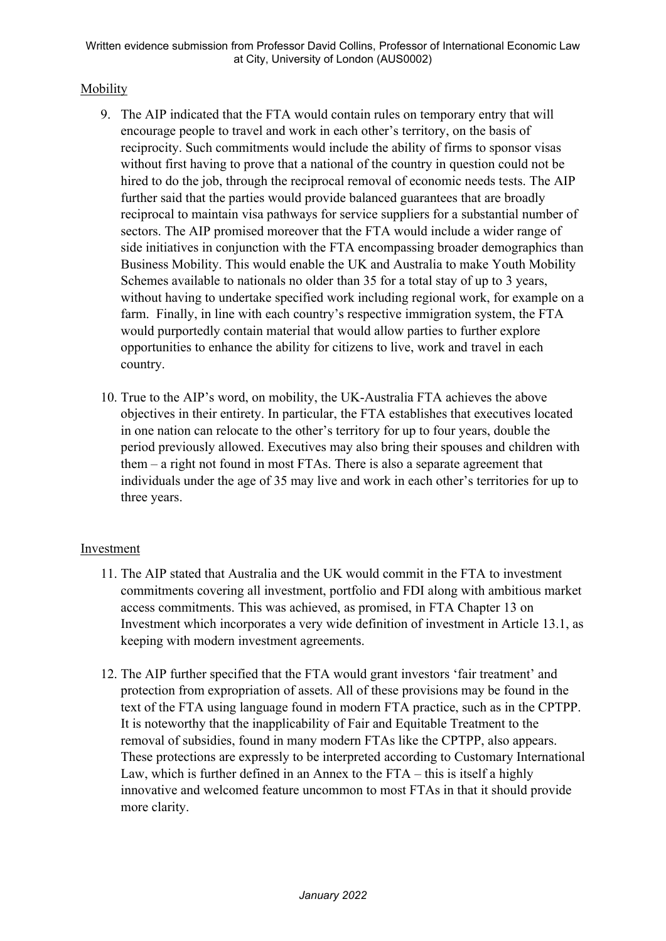#### Mobility

- 9. The AIP indicated that the FTA would contain rules on temporary entry that will encourage people to travel and work in each other's territory, on the basis of reciprocity. Such commitments would include the ability of firms to sponsor visas without first having to prove that a national of the country in question could not be hired to do the job, through the reciprocal removal of economic needs tests. The AIP further said that the parties would provide balanced guarantees that are broadly reciprocal to maintain visa pathways for service suppliers for a substantial number of sectors. The AIP promised moreover that the FTA would include a wider range of side initiatives in conjunction with the FTA encompassing broader demographics than Business Mobility. This would enable the UK and Australia to make Youth Mobility Schemes available to nationals no older than 35 for a total stay of up to 3 years, without having to undertake specified work including regional work, for example on a farm. Finally, in line with each country's respective immigration system, the FTA would purportedly contain material that would allow parties to further explore opportunities to enhance the ability for citizens to live, work and travel in each country.
- 10. True to the AIP's word, on mobility, the UK-Australia FTA achieves the above objectives in their entirety. In particular, the FTA establishes that executives located in one nation can relocate to the other's territory for up to four years, double the period previously allowed. Executives may also bring their spouses and children with them – a right not found in most FTAs. There is also a separate agreement that individuals under the age of 35 may live and work in each other's territories for up to three years.

#### Investment

- 11. The AIP stated that Australia and the UK would commit in the FTA to investment commitments covering all investment, portfolio and FDI along with ambitious market access commitments. This was achieved, as promised, in FTA Chapter 13 on Investment which incorporates a very wide definition of investment in Article 13.1, as keeping with modern investment agreements.
- 12. The AIP further specified that the FTA would grant investors 'fair treatment' and protection from expropriation of assets. All of these provisions may be found in the text of the FTA using language found in modern FTA practice, such as in the CPTPP. It is noteworthy that the inapplicability of Fair and Equitable Treatment to the removal of subsidies, found in many modern FTAs like the CPTPP, also appears. These protections are expressly to be interpreted according to Customary International Law, which is further defined in an Annex to the FTA – this is itself a highly innovative and welcomed feature uncommon to most FTAs in that it should provide more clarity.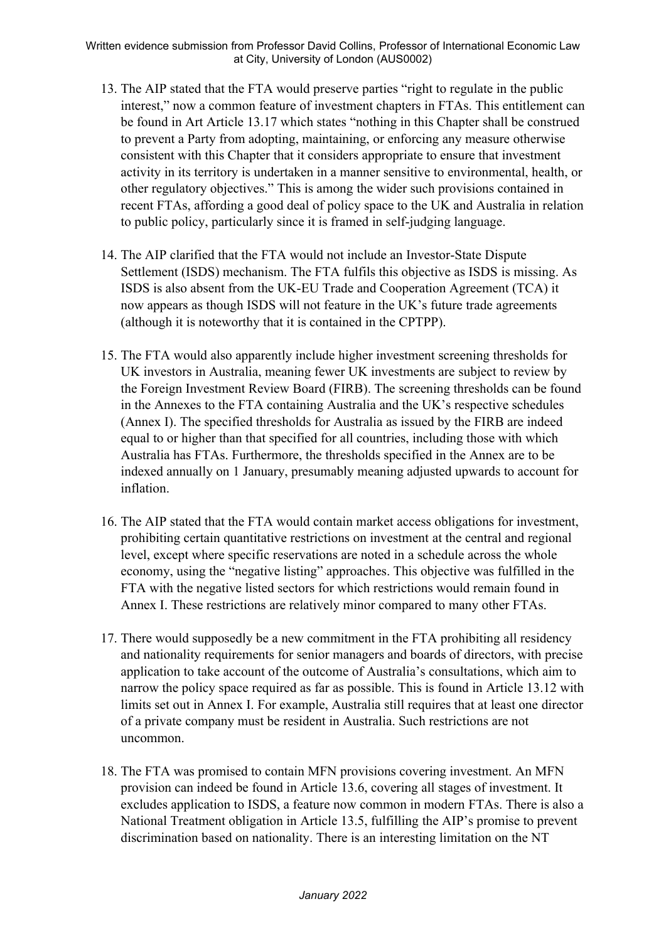- 13. The AIP stated that the FTA would preserve parties "right to regulate in the public interest," now a common feature of investment chapters in FTAs. This entitlement can be found in Art Article 13.17 which states "nothing in this Chapter shall be construed to prevent a Party from adopting, maintaining, or enforcing any measure otherwise consistent with this Chapter that it considers appropriate to ensure that investment activity in its territory is undertaken in a manner sensitive to environmental, health, or other regulatory objectives." This is among the wider such provisions contained in recent FTAs, affording a good deal of policy space to the UK and Australia in relation to public policy, particularly since it is framed in self-judging language.
- 14. The AIP clarified that the FTA would not include an Investor-State Dispute Settlement (ISDS) mechanism. The FTA fulfils this objective as ISDS is missing. As ISDS is also absent from the UK-EU Trade and Cooperation Agreement (TCA) it now appears as though ISDS will not feature in the UK's future trade agreements (although it is noteworthy that it is contained in the CPTPP).
- 15. The FTA would also apparently include higher investment screening thresholds for UK investors in Australia, meaning fewer UK investments are subject to review by the Foreign Investment Review Board (FIRB). The screening thresholds can be found in the Annexes to the FTA containing Australia and the UK's respective schedules (Annex I). The specified thresholds for Australia as issued by the FIRB are indeed equal to or higher than that specified for all countries, including those with which Australia has FTAs. Furthermore, the thresholds specified in the Annex are to be indexed annually on 1 January, presumably meaning adjusted upwards to account for inflation.
- 16. The AIP stated that the FTA would contain market access obligations for investment, prohibiting certain quantitative restrictions on investment at the central and regional level, except where specific reservations are noted in a schedule across the whole economy, using the "negative listing" approaches. This objective was fulfilled in the FTA with the negative listed sectors for which restrictions would remain found in Annex I. These restrictions are relatively minor compared to many other FTAs.
- 17. There would supposedly be a new commitment in the FTA prohibiting all residency and nationality requirements for senior managers and boards of directors, with precise application to take account of the outcome of Australia's consultations, which aim to narrow the policy space required as far as possible. This is found in Article 13.12 with limits set out in Annex I. For example, Australia still requires that at least one director of a private company must be resident in Australia. Such restrictions are not uncommon.
- 18. The FTA was promised to contain MFN provisions covering investment. An MFN provision can indeed be found in Article 13.6, covering all stages of investment. It excludes application to ISDS, a feature now common in modern FTAs. There is also a National Treatment obligation in Article 13.5, fulfilling the AIP's promise to prevent discrimination based on nationality. There is an interesting limitation on the NT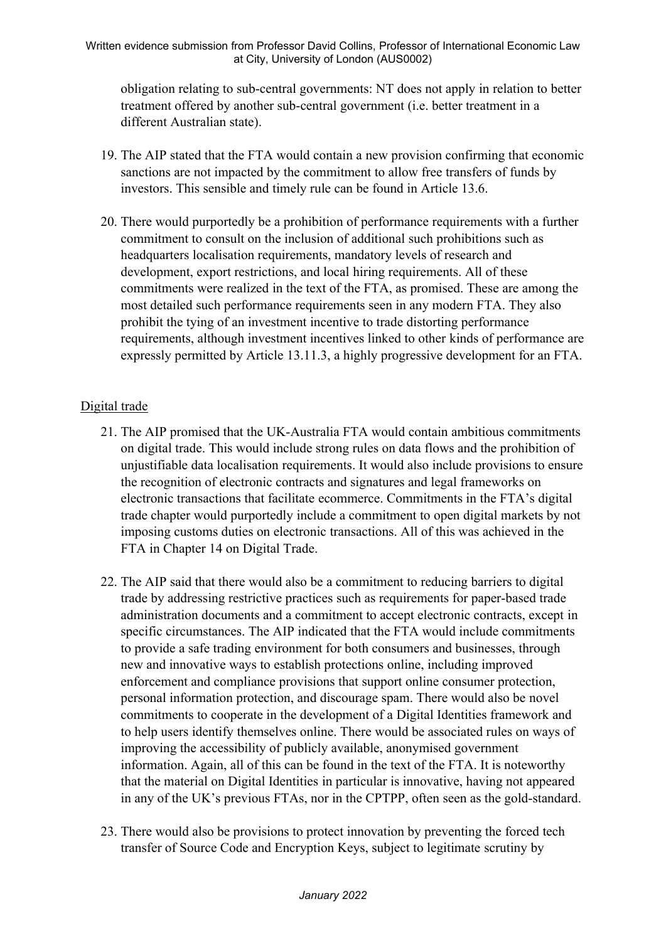obligation relating to sub-central governments: NT does not apply in relation to better treatment offered by another sub-central government (i.e. better treatment in a different Australian state).

- 19. The AIP stated that the FTA would contain a new provision confirming that economic sanctions are not impacted by the commitment to allow free transfers of funds by investors. This sensible and timely rule can be found in Article 13.6.
- 20. There would purportedly be a prohibition of performance requirements with a further commitment to consult on the inclusion of additional such prohibitions such as headquarters localisation requirements, mandatory levels of research and development, export restrictions, and local hiring requirements. All of these commitments were realized in the text of the FTA, as promised. These are among the most detailed such performance requirements seen in any modern FTA. They also prohibit the tying of an investment incentive to trade distorting performance requirements, although investment incentives linked to other kinds of performance are expressly permitted by Article 13.11.3, a highly progressive development for an FTA.

## Digital trade

- 21. The AIP promised that the UK-Australia FTA would contain ambitious commitments on digital trade. This would include strong rules on data flows and the prohibition of unjustifiable data localisation requirements. It would also include provisions to ensure the recognition of electronic contracts and signatures and legal frameworks on electronic transactions that facilitate ecommerce. Commitments in the FTA's digital trade chapter would purportedly include a commitment to open digital markets by not imposing customs duties on electronic transactions. All of this was achieved in the FTA in Chapter 14 on Digital Trade.
- 22. The AIP said that there would also be a commitment to reducing barriers to digital trade by addressing restrictive practices such as requirements for paper-based trade administration documents and a commitment to accept electronic contracts, except in specific circumstances. The AIP indicated that the FTA would include commitments to provide a safe trading environment for both consumers and businesses, through new and innovative ways to establish protections online, including improved enforcement and compliance provisions that support online consumer protection, personal information protection, and discourage spam. There would also be novel commitments to cooperate in the development of a Digital Identities framework and to help users identify themselves online. There would be associated rules on ways of improving the accessibility of publicly available, anonymised government information. Again, all of this can be found in the text of the FTA. It is noteworthy that the material on Digital Identities in particular is innovative, having not appeared in any of the UK's previous FTAs, nor in the CPTPP, often seen as the gold-standard.
- 23. There would also be provisions to protect innovation by preventing the forced tech transfer of Source Code and Encryption Keys, subject to legitimate scrutiny by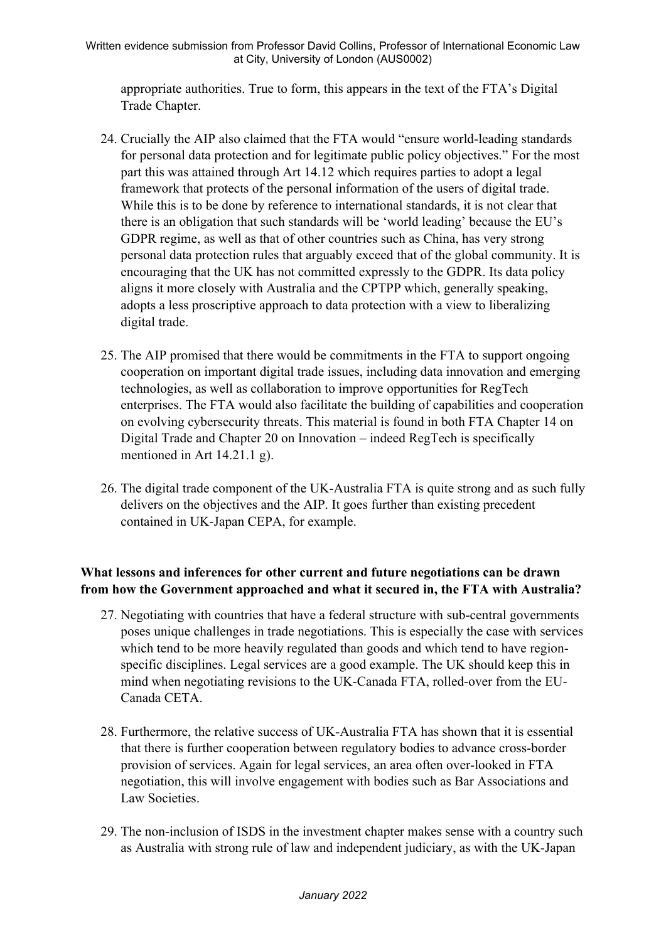appropriate authorities. True to form, this appears in the text of the FTA's Digital Trade Chapter.

- 24. Crucially the AIP also claimed that the FTA would "ensure world-leading standards for personal data protection and for legitimate public policy objectives." For the most part this was attained through Art 14.12 which requires parties to adopt a legal framework that protects of the personal information of the users of digital trade. While this is to be done by reference to international standards, it is not clear that there is an obligation that such standards will be 'world leading' because the EU's GDPR regime, as well as that of other countries such as China, has very strong personal data protection rules that arguably exceed that of the global community. It is encouraging that the UK has not committed expressly to the GDPR. Its data policy aligns it more closely with Australia and the CPTPP which, generally speaking, adopts a less proscriptive approach to data protection with a view to liberalizing digital trade.
- 25. The AIP promised that there would be commitments in the FTA to support ongoing cooperation on important digital trade issues, including data innovation and emerging technologies, as well as collaboration to improve opportunities for RegTech enterprises. The FTA would also facilitate the building of capabilities and cooperation on evolving cybersecurity threats. This material is found in both FTA Chapter 14 on Digital Trade and Chapter 20 on Innovation – indeed RegTech is specifically mentioned in Art 14.21.1 g).
- 26. The digital trade component of the UK-Australia FTA is quite strong and as such fully delivers on the objectives and the AIP. It goes further than existing precedent contained in UK-Japan CEPA, for example.

# **What lessons and inferences for other current and future negotiations can be drawn from how the Government approached and what it secured in, the FTA with Australia?**

- 27. Negotiating with countries that have a federal structure with sub-central governments poses unique challenges in trade negotiations. This is especially the case with services which tend to be more heavily regulated than goods and which tend to have regionspecific disciplines. Legal services are a good example. The UK should keep this in mind when negotiating revisions to the UK-Canada FTA, rolled-over from the EU-Canada CETA.
- 28. Furthermore, the relative success of UK-Australia FTA has shown that it is essential that there is further cooperation between regulatory bodies to advance cross-border provision of services. Again for legal services, an area often over-looked in FTA negotiation, this will involve engagement with bodies such as Bar Associations and Law Societies.
- 29. The non-inclusion of ISDS in the investment chapter makes sense with a country such as Australia with strong rule of law and independent judiciary, as with the UK-Japan